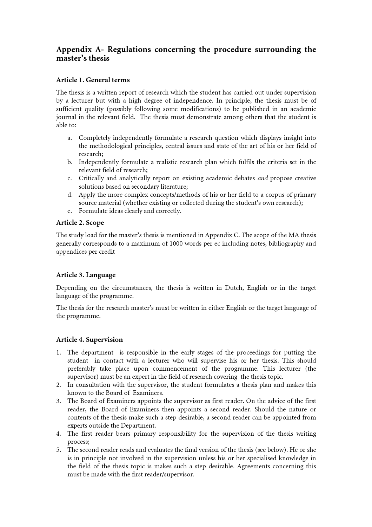# Appendix A- Regulations concerning the procedure surrounding the master's thesis

# Article 1. General terms

The thesis is a written report of research which the student has carried out under supervision by a lecturer but with a high degree of independence. In principle, the thesis must be of sufficient quality (possibly following some modifications) to be published in an academic journal in the relevant field. The thesis must demonstrate among others that the student is able to:

- a. Completely independently formulate a research question which displays insight into the methodological principles, central issues and state of the art of his or her field of research;
- b. Independently formulate a realistic research plan which fulfils the criteria set in the relevant field of research;
- c. Critically and analytically report on existing academic debates and propose creative solutions based on secondary literature;
- d. Apply the more complex concepts/methods of his or her field to a corpus of primary source material (whether existing or collected during the student's own research);
- e. Formulate ideas clearly and correctly.

# Article 2. Scope

The study load for the master's thesis is mentioned in Appendix C. The scope of the MA thesis generally corresponds to a maximum of 1000 words per ec including notes, bibliography and appendices per credit

### Article 3. Language

Depending on the circumstances, the thesis is written in Dutch, English or in the target language of the programme.

The thesis for the research master's must be written in either English or the target language of the programme.

# Article 4. Supervision

- 1. The department is responsible in the early stages of the proceedings for putting the student in contact with a lecturer who will supervise his or her thesis. This should preferably take place upon commencement of the programme. This lecturer (the supervisor) must be an expert in the field of research covering the thesis topic.
- 2. In consultation with the supervisor, the student formulates a thesis plan and makes this known to the Board of Examiners.
- 3. The Board of Examiners appoints the supervisor as first reader. On the advice of the first reader, the Board of Examiners then appoints a second reader. Should the nature or contents of the thesis make such a step desirable, a second reader can be appointed from experts outside the Department.
- 4. The first reader bears primary responsibility for the supervision of the thesis writing process;
- 5. The second reader reads and evaluates the final version of the thesis (see below). He or she is in principle not involved in the supervision unless his or her specialised knowledge in the field of the thesis topic is makes such a step desirable. Agreements concerning this must be made with the first reader/supervisor.